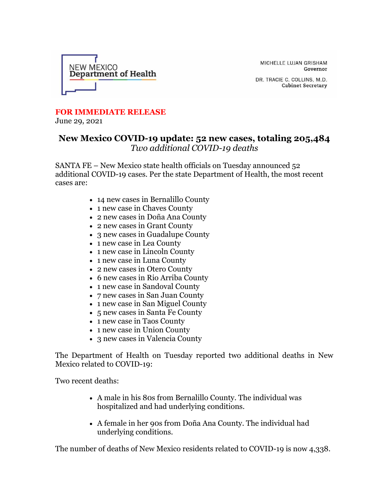

MICHELLE LUJAN GRISHAM Governor

DR. TRACIE C. COLLINS, M.D. **Cabinet Secretary** 

## **FOR IMMEDIATE RELEASE**

June 29, 2021

## **New Mexico COVID-19 update: 52 new cases, totaling 205,484** *Two additional COVID-19 deaths*

SANTA FE – New Mexico state health officials on Tuesday announced 52 additional COVID-19 cases. Per the state Department of Health, the most recent cases are:

- 14 new cases in Bernalillo County
- 1 new case in Chaves County
- 2 new cases in Doña Ana County
- 2 new cases in Grant County
- 3 new cases in Guadalupe County
- 1 new case in Lea County
- 1 new case in Lincoln County
- 1 new case in Luna County
- 2 new cases in Otero County
- 6 new cases in Rio Arriba County
- 1 new case in Sandoval County
- 7 new cases in San Juan County
- 1 new case in San Miguel County
- 5 new cases in Santa Fe County
- 1 new case in Taos County
- 1 new case in Union County
- 3 new cases in Valencia County

The Department of Health on Tuesday reported two additional deaths in New Mexico related to COVID-19:

Two recent deaths:

- A male in his 80s from Bernalillo County. The individual was hospitalized and had underlying conditions.
- A female in her 90s from Doña Ana County. The individual had underlying conditions.

The number of deaths of New Mexico residents related to COVID-19 is now 4,338.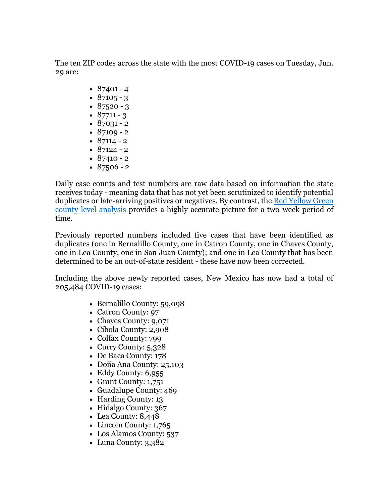The ten ZIP codes across the state with the most COVID-19 cases on Tuesday, Jun. 29 are:

- $87401 4$
- $87105 3$
- $87520 3$
- $87711 3$
- $87031 2$
- $87109 2$ •  $87114 - 2$
- $87124 2$
- $87410 2$
- $87506 2$

Daily case counts and test numbers are raw data based on information the state receives today - meaning data that has not yet been scrutinized to identify potential duplicates or late-arriving positives or negatives. By contrast, the [Red Yellow Green](https://r20.rs6.net/tn.jsp?f=001ha0-90feIptj4-jiFd3CzmLk6-sQleK_1BvLFpIQKGdm_dnB45faCsOaybqLuX3EoorIPkmLyEGKDNz-4az-mpwapgTAXS9-gofyakpexhu3SfzYfIswy1cCTupI1Z_B0KZni-jM1ZQHdUVQRwWl3o05vCJJOo1PeiQVsDO-qX0LyHTqnCW_zqICVazVoKbDHA455F5YUzH-4CETjfYjUvulv4a7XCNY&c=h1XYJAfLal6WXpepC7p7NhDVqOBvo1B3OIvjZN6YUupg4Vq6_UJSNg==&ch=688daF8e07mJc3l1_uW7694-HOKbZtelx6SIgdeXqjn-udyMld9IDw==)  [county-level analysis](https://r20.rs6.net/tn.jsp?f=001ha0-90feIptj4-jiFd3CzmLk6-sQleK_1BvLFpIQKGdm_dnB45faCsOaybqLuX3EoorIPkmLyEGKDNz-4az-mpwapgTAXS9-gofyakpexhu3SfzYfIswy1cCTupI1Z_B0KZni-jM1ZQHdUVQRwWl3o05vCJJOo1PeiQVsDO-qX0LyHTqnCW_zqICVazVoKbDHA455F5YUzH-4CETjfYjUvulv4a7XCNY&c=h1XYJAfLal6WXpepC7p7NhDVqOBvo1B3OIvjZN6YUupg4Vq6_UJSNg==&ch=688daF8e07mJc3l1_uW7694-HOKbZtelx6SIgdeXqjn-udyMld9IDw==) provides a highly accurate picture for a two-week period of time.

Previously reported numbers included five cases that have been identified as duplicates (one in Bernalillo County, one in Catron County, one in Chaves County, one in Lea County, one in San Juan County); and one in Lea County that has been determined to be an out-of-state resident - these have now been corrected.

Including the above newly reported cases, New Mexico has now had a total of 205,484 COVID-19 cases:

- Bernalillo County: 59,098
- Catron County: 97
- Chaves County: 9,071
- Cibola County: 2,908
- Colfax County: 799
- Curry County: 5,328
- De Baca County: 178
- Doña Ana County: 25,103
- Eddy County: 6,955
- Grant County: 1,751
- Guadalupe County: 469
- Harding County: 13
- Hidalgo County: 367
- Lea County: 8,448
- Lincoln County: 1,765
- Los Alamos County: 537
- Luna County: 3,382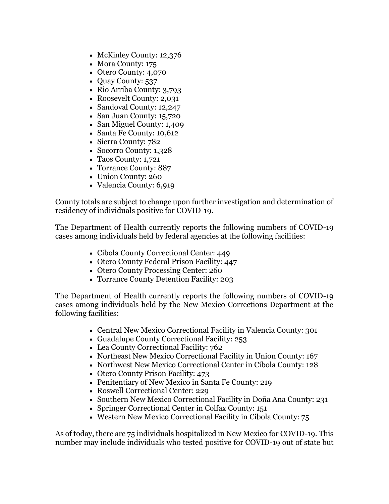- McKinley County: 12,376
- Mora County: 175
- Otero County: 4,070
- Quay County: 537
- Rio Arriba County: 3,793
- Roosevelt County: 2,031
- Sandoval County: 12,247
- San Juan County: 15,720
- San Miguel County: 1,409
- Santa Fe County: 10,612
- Sierra County: 782
- Socorro County: 1,328
- Taos County: 1,721
- Torrance County: 887
- Union County: 260
- Valencia County: 6,919

County totals are subject to change upon further investigation and determination of residency of individuals positive for COVID-19.

The Department of Health currently reports the following numbers of COVID-19 cases among individuals held by federal agencies at the following facilities:

- Cibola County Correctional Center: 449
- Otero County Federal Prison Facility: 447
- Otero County Processing Center: 260
- Torrance County Detention Facility: 203

The Department of Health currently reports the following numbers of COVID-19 cases among individuals held by the New Mexico Corrections Department at the following facilities:

- Central New Mexico Correctional Facility in Valencia County: 301
- Guadalupe County Correctional Facility: 253
- Lea County Correctional Facility: 762
- Northeast New Mexico Correctional Facility in Union County: 167
- Northwest New Mexico Correctional Center in Cibola County: 128
- Otero County Prison Facility: 473
- Penitentiary of New Mexico in Santa Fe County: 219
- Roswell Correctional Center: 229
- Southern New Mexico Correctional Facility in Doña Ana County: 231
- Springer Correctional Center in Colfax County: 151
- Western New Mexico Correctional Facility in Cibola County: 75

As of today, there are 75 individuals hospitalized in New Mexico for COVID-19. This number may include individuals who tested positive for COVID-19 out of state but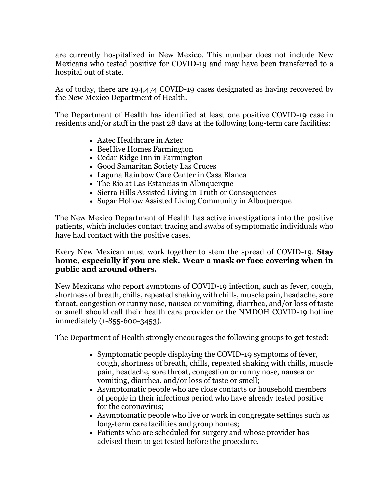are currently hospitalized in New Mexico. This number does not include New Mexicans who tested positive for COVID-19 and may have been transferred to a hospital out of state.

As of today, there are 194,474 COVID-19 cases designated as having recovered by the New Mexico Department of Health.

The Department of Health has identified at least one positive COVID-19 case in residents and/or staff in the past 28 days at the following long-term care facilities:

- Aztec Healthcare in Aztec
- BeeHive Homes Farmington
- Cedar Ridge Inn in Farmington
- Good Samaritan Society Las Cruces
- Laguna Rainbow Care Center in Casa Blanca
- The Rio at Las Estancias in Albuquerque
- Sierra Hills Assisted Living in Truth or Consequences
- Sugar Hollow Assisted Living Community in Albuquerque

The New Mexico Department of Health has active investigations into the positive patients, which includes contact tracing and swabs of symptomatic individuals who have had contact with the positive cases.

Every New Mexican must work together to stem the spread of COVID-19. **Stay home, especially if you are sick. Wear a mask or face covering when in public and around others.**

New Mexicans who report symptoms of COVID-19 infection, such as fever, cough, shortness of breath, chills, repeated shaking with chills, muscle pain, headache, sore throat, congestion or runny nose, nausea or vomiting, diarrhea, and/or loss of taste or smell should call their health care provider or the NMDOH COVID-19 hotline immediately (1-855-600-3453).

The Department of Health strongly encourages the following groups to get tested:

- Symptomatic people displaying the COVID-19 symptoms of fever, cough, shortness of breath, chills, repeated shaking with chills, muscle pain, headache, sore throat, congestion or runny nose, nausea or vomiting, diarrhea, and/or loss of taste or smell;
- Asymptomatic people who are close contacts or household members of people in their infectious period who have already tested positive for the coronavirus;
- Asymptomatic people who live or work in congregate settings such as long-term care facilities and group homes;
- Patients who are scheduled for surgery and whose provider has advised them to get tested before the procedure.